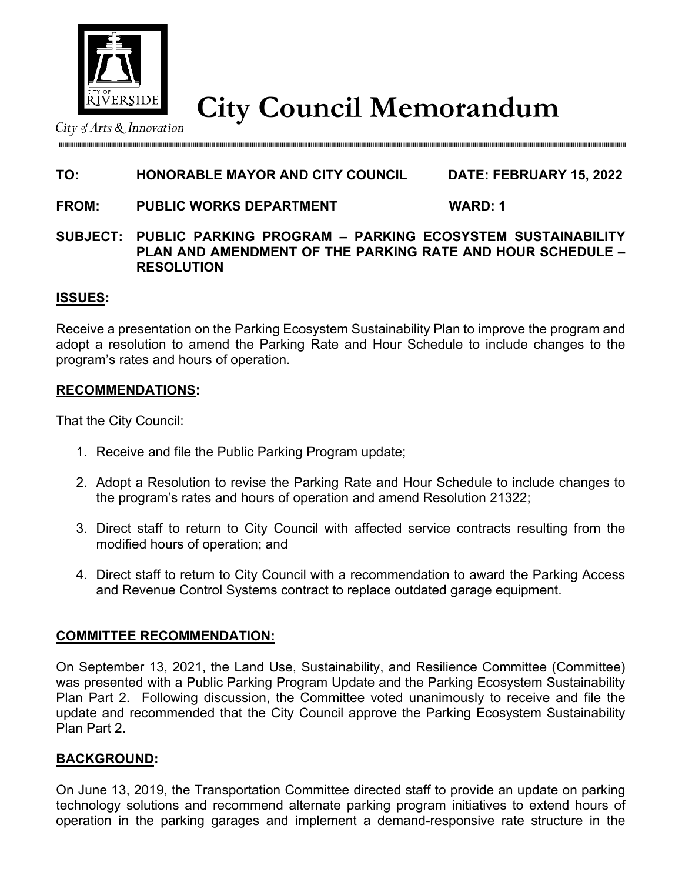

**City Council Memorandum** City Council Memorandum

# **TO: HONORABLE MAYOR AND CITY COUNCIL DATE: FEBRUARY 15, 2022**

### **FROM: PUBLIC WORKS DEPARTMENT WARD: 1**

### **SUBJECT: PUBLIC PARKING PROGRAM – PARKING ECOSYSTEM SUSTAINABILITY PLAN AND AMENDMENT OF THE PARKING RATE AND HOUR SCHEDULE – RESOLUTION**

## **ISSUES:**

Receive a presentation on the Parking Ecosystem Sustainability Plan to improve the program and adopt a resolution to amend the Parking Rate and Hour Schedule to include changes to the program's rates and hours of operation.

### **RECOMMENDATIONS:**

That the City Council:

- 1. Receive and file the Public Parking Program update;
- 2. Adopt a Resolution to revise the Parking Rate and Hour Schedule to include changes to the program's rates and hours of operation and amend Resolution 21322;
- 3. Direct staff to return to City Council with affected service contracts resulting from the modified hours of operation; and
- 4. Direct staff to return to City Council with a recommendation to award the Parking Access and Revenue Control Systems contract to replace outdated garage equipment.

### **COMMITTEE RECOMMENDATION:**

On September 13, 2021, the Land Use, Sustainability, and Resilience Committee (Committee) was presented with a Public Parking Program Update and the Parking Ecosystem Sustainability Plan Part 2. Following discussion, the Committee voted unanimously to receive and file the update and recommended that the City Council approve the Parking Ecosystem Sustainability Plan Part 2.

### **BACKGROUND:**

On June 13, 2019, the Transportation Committee directed staff to provide an update on parking technology solutions and recommend alternate parking program initiatives to extend hours of operation in the parking garages and implement a demand-responsive rate structure in the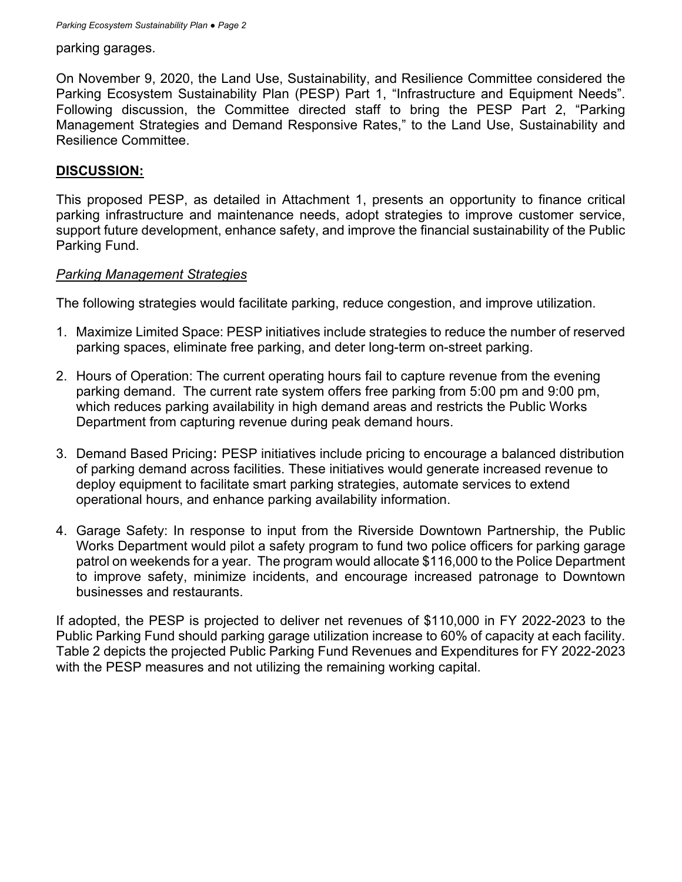*Parking Ecosystem Sustainability Plan ● Page 2*

#### parking garages.

On November 9, 2020, the Land Use, Sustainability, and Resilience Committee considered the Parking Ecosystem Sustainability Plan (PESP) Part 1, "Infrastructure and Equipment Needs". Following discussion, the Committee directed staff to bring the PESP Part 2, "Parking Management Strategies and Demand Responsive Rates," to the Land Use, Sustainability and Resilience Committee.

### **DISCUSSION:**

This proposed PESP, as detailed in Attachment 1, presents an opportunity to finance critical parking infrastructure and maintenance needs, adopt strategies to improve customer service, support future development, enhance safety, and improve the financial sustainability of the Public Parking Fund.

### *Parking Management Strategies*

The following strategies would facilitate parking, reduce congestion, and improve utilization.

- 1. Maximize Limited Space: PESP initiatives include strategies to reduce the number of reserved parking spaces, eliminate free parking, and deter long-term on-street parking.
- 2. Hours of Operation: The current operating hours fail to capture revenue from the evening parking demand. The current rate system offers free parking from 5:00 pm and 9:00 pm, which reduces parking availability in high demand areas and restricts the Public Works Department from capturing revenue during peak demand hours.
- 3. Demand Based Pricing: PESP initiatives include pricing to encourage a balanced distribution of parking demand across facilities. These initiatives would generate increased revenue to deploy equipment to facilitate smart parking strategies, automate services to extend operational hours, and enhance parking availability information.
- 4. Garage Safety: In response to input from the Riverside Downtown Partnership, the Public Works Department would pilot a safety program to fund two police officers for parking garage patrol on weekends for a year. The program would allocate \$116,000 to the Police Department to improve safety, minimize incidents, and encourage increased patronage to Downtown businesses and restaurants.

If adopted, the PESP is projected to deliver net revenues of \$110,000 in FY 2022-2023 to the Public Parking Fund should parking garage utilization increase to 60% of capacity at each facility. Table 2 depicts the projected Public Parking Fund Revenues and Expenditures for FY 2022-2023 with the PESP measures and not utilizing the remaining working capital.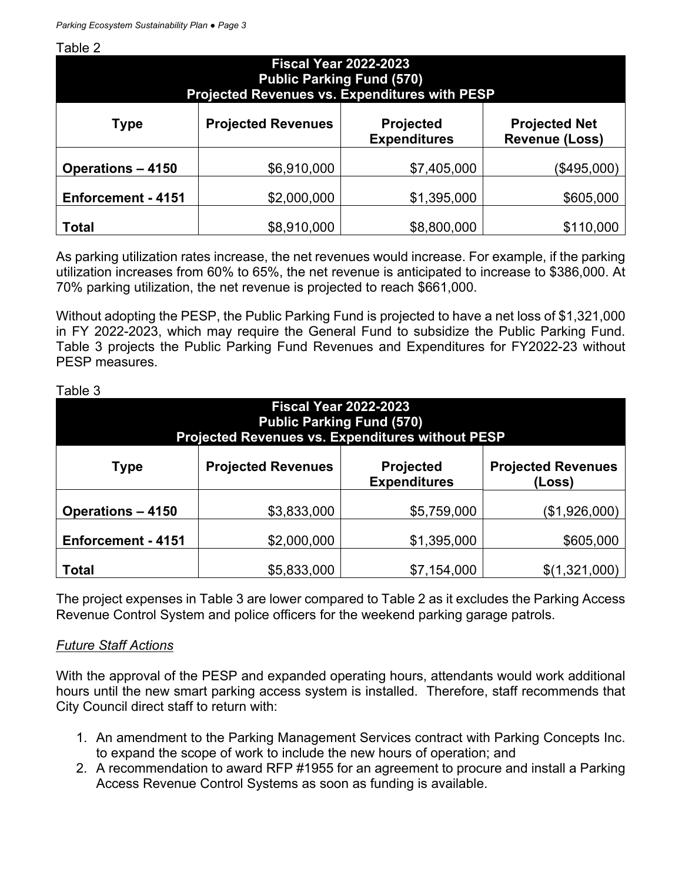Table 2

| <b>Fiscal Year 2022-2023</b><br><b>Public Parking Fund (570)</b><br>Projected Revenues vs. Expenditures with PESP |                           |                                         |                                               |  |
|-------------------------------------------------------------------------------------------------------------------|---------------------------|-----------------------------------------|-----------------------------------------------|--|
| Type                                                                                                              | <b>Projected Revenues</b> | <b>Projected</b><br><b>Expenditures</b> | <b>Projected Net</b><br><b>Revenue (Loss)</b> |  |
| <b>Operations - 4150</b>                                                                                          | \$6,910,000               | \$7,405,000                             | (\$495,000)                                   |  |
| Enforcement - 4151                                                                                                | \$2,000,000               | \$1,395,000                             | \$605,000                                     |  |
| <b>Total</b>                                                                                                      | \$8,910,000               | \$8,800,000                             | \$110,000                                     |  |

As parking utilization rates increase, the net revenues would increase. For example, if the parking utilization increases from 60% to 65%, the net revenue is anticipated to increase to \$386,000. At 70% parking utilization, the net revenue is projected to reach \$661,000.

Without adopting the PESP, the Public Parking Fund is projected to have a net loss of \$1,321,000 in FY 2022-2023, which may require the General Fund to subsidize the Public Parking Fund. Table 3 projects the Public Parking Fund Revenues and Expenditures for FY2022-23 without PESP measures.

| <b>Fiscal Year 2022-2023</b><br><b>Public Parking Fund (570)</b><br>Projected Revenues vs. Expenditures without PESP |                           |                                         |                                     |  |
|----------------------------------------------------------------------------------------------------------------------|---------------------------|-----------------------------------------|-------------------------------------|--|
| Type                                                                                                                 | <b>Projected Revenues</b> | <b>Projected</b><br><b>Expenditures</b> | <b>Projected Revenues</b><br>(Loss) |  |
| <b>Operations - 4150</b>                                                                                             | \$3,833,000               | \$5,759,000                             | (\$1,926,000)                       |  |
| Enforcement - 4151                                                                                                   | \$2,000,000               | \$1,395,000                             | \$605,000                           |  |
| <b>Total</b>                                                                                                         | \$5,833,000               | \$7,154,000                             | \$(1,321,000)                       |  |

Table 3

The project expenses in Table 3 are lower compared to Table 2 as it excludes the Parking Access Revenue Control System and police officers for the weekend parking garage patrols.

### *Future Staff Actions*

With the approval of the PESP and expanded operating hours, attendants would work additional hours until the new smart parking access system is installed. Therefore, staff recommends that City Council direct staff to return with:

- 1. An amendment to the Parking Management Services contract with Parking Concepts Inc. to expand the scope of work to include the new hours of operation; and
- 2. A recommendation to award RFP #1955 for an agreement to procure and install a Parking Access Revenue Control Systems as soon as funding is available.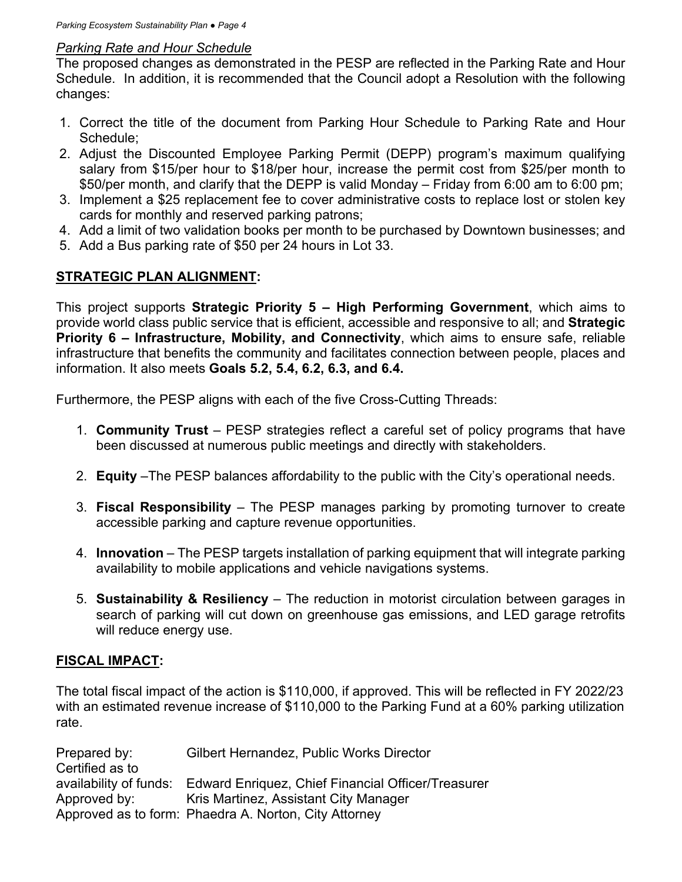### *Parking Rate and Hour Schedule*

The proposed changes as demonstrated in the PESP are reflected in the Parking Rate and Hour Schedule. In addition, it is recommended that the Council adopt a Resolution with the following changes:

- 1. Correct the title of the document from Parking Hour Schedule to Parking Rate and Hour Schedule;
- 2. Adjust the Discounted Employee Parking Permit (DEPP) program's maximum qualifying salary from \$15/per hour to \$18/per hour, increase the permit cost from \$25/per month to \$50/per month, and clarify that the DEPP is valid Monday – Friday from 6:00 am to 6:00 pm;
- 3. Implement a \$25 replacement fee to cover administrative costs to replace lost or stolen key cards for monthly and reserved parking patrons;
- 4. Add a limit of two validation books per month to be purchased by Downtown businesses; and
- 5. Add a Bus parking rate of \$50 per 24 hours in Lot 33.

## **STRATEGIC PLAN ALIGNMENT:**

This project supports **Strategic Priority 5 – High Performing Government**, which aims to provide world class public service that is efficient, accessible and responsive to all; and **Strategic Priority 6 – Infrastructure, Mobility, and Connectivity**, which aims to ensure safe, reliable infrastructure that benefits the community and facilitates connection between people, places and information. It also meets **Goals 5.2, 5.4, 6.2, 6.3, and 6.4.**

Furthermore, the PESP aligns with each of the five Cross-Cutting Threads:

- 1. **Community Trust** PESP strategies reflect a careful set of policy programs that have been discussed at numerous public meetings and directly with stakeholders.
- 2. **Equity** –The PESP balances affordability to the public with the City's operational needs.
- 3. **Fiscal Responsibility** The PESP manages parking by promoting turnover to create accessible parking and capture revenue opportunities.
- 4. **Innovation**  The PESP targets installation of parking equipment that will integrate parking availability to mobile applications and vehicle navigations systems.
- 5. **Sustainability & Resiliency** The reduction in motorist circulation between garages in search of parking will cut down on greenhouse gas emissions, and LED garage retrofits will reduce energy use.

# **FISCAL IMPACT:**

The total fiscal impact of the action is \$110,000, if approved. This will be reflected in FY 2022/23 with an estimated revenue increase of \$110,000 to the Parking Fund at a 60% parking utilization rate.

| Prepared by:    | <b>Gilbert Hernandez, Public Works Director</b>                           |
|-----------------|---------------------------------------------------------------------------|
| Certified as to |                                                                           |
|                 | availability of funds: Edward Enriquez, Chief Financial Officer/Treasurer |
| Approved by:    | Kris Martinez, Assistant City Manager                                     |
|                 | Approved as to form: Phaedra A. Norton, City Attorney                     |